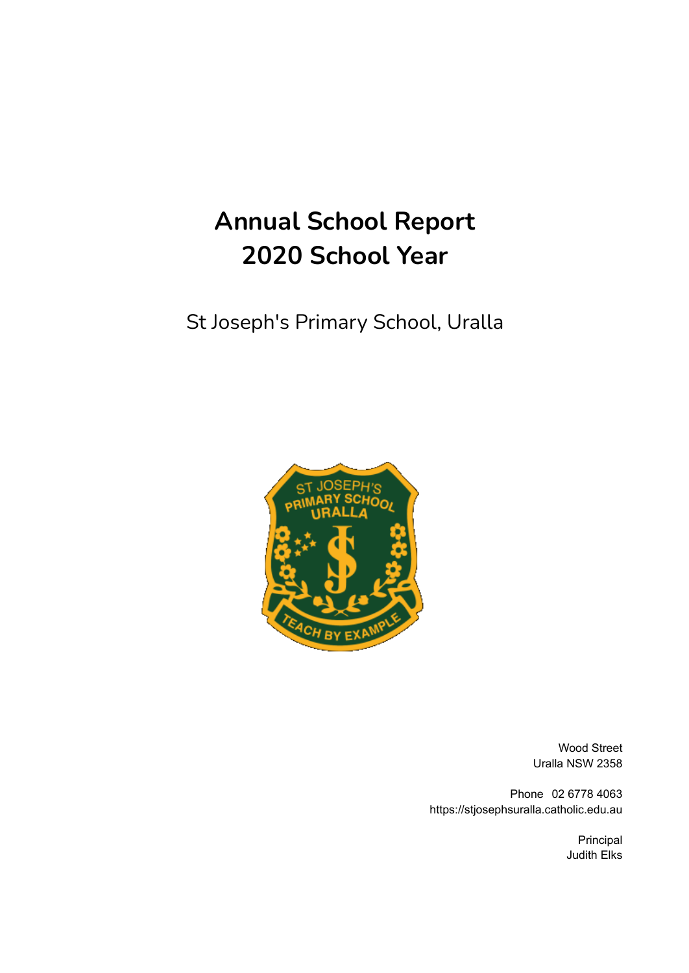# **Annual School Report 2020 School Year**

# St Joseph's Primary School, Uralla



Wood Street Uralla NSW 2358

Phone 02 6778 4063 https://stjosephsuralla.catholic.edu.au

> Principal Judith Elks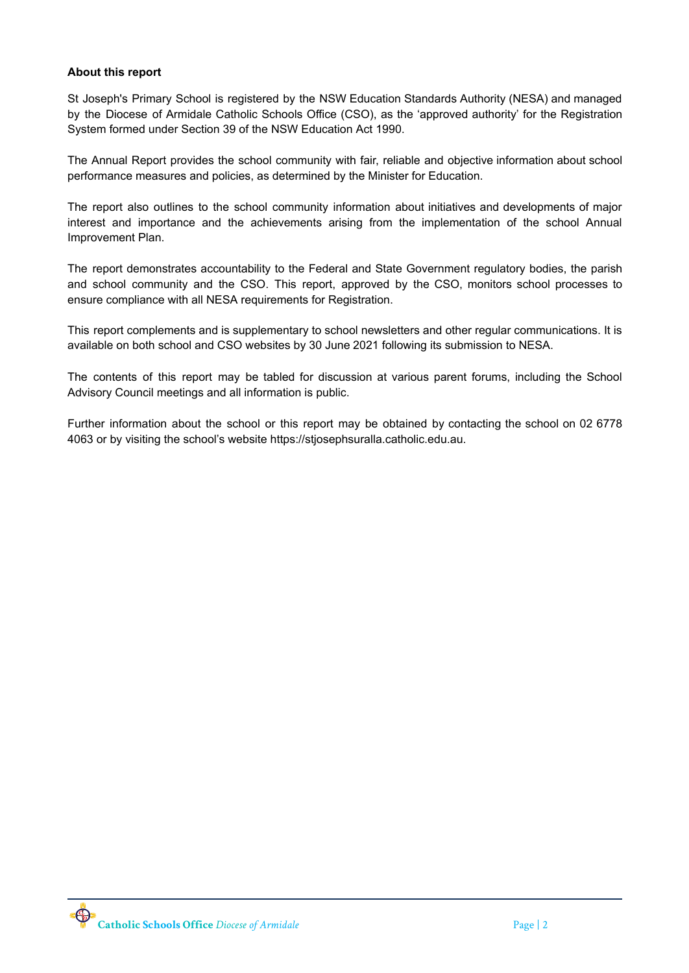#### **About this report**

St Joseph's Primary School is registered by the NSW Education Standards Authority (NESA) and managed by the Diocese of Armidale Catholic Schools Office (CSO), as the 'approved authority' for the Registration System formed under Section 39 of the NSW Education Act 1990.

The Annual Report provides the school community with fair, reliable and objective information about school performance measures and policies, as determined by the Minister for Education.

The report also outlines to the school community information about initiatives and developments of major interest and importance and the achievements arising from the implementation of the school Annual Improvement Plan.

The report demonstrates accountability to the Federal and State Government regulatory bodies, the parish and school community and the CSO. This report, approved by the CSO, monitors school processes to ensure compliance with all NESA requirements for Registration.

This report complements and is supplementary to school newsletters and other regular communications. It is available on both school and CSO websites by 30 June 2021 following its submission to NESA.

The contents of this report may be tabled for discussion at various parent forums, including the School Advisory Council meetings and all information is public.

Further information about the school or this report may be obtained by contacting the school on 02 6778 4063 or by visiting the school's website https://stjosephsuralla.catholic.edu.au.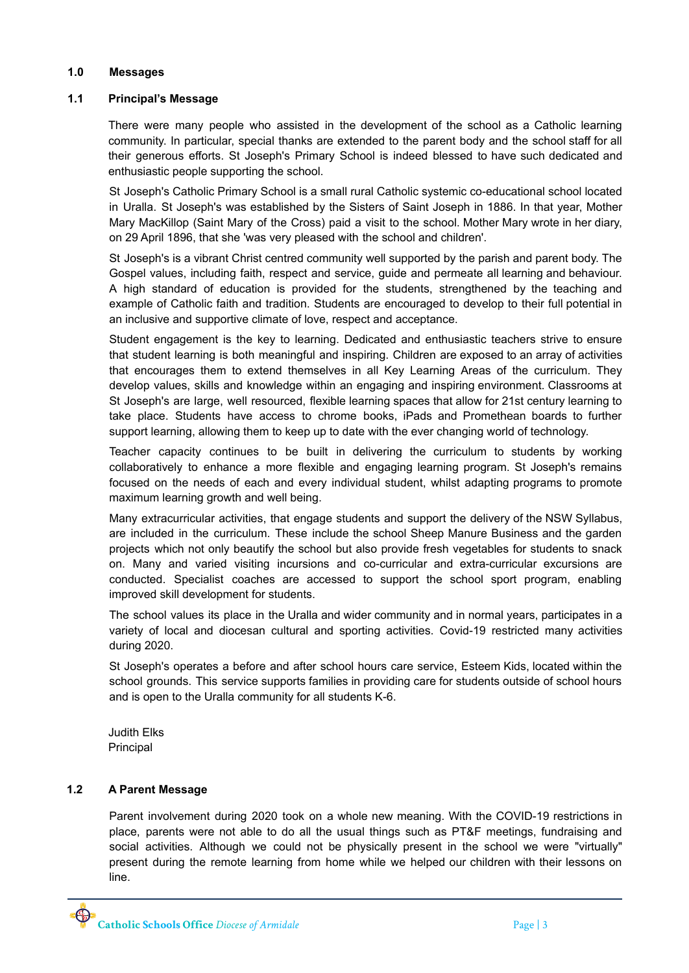#### **1.0 Messages**

#### **1.1 Principal's Message**

There were many people who assisted in the development of the school as a Catholic learning community. In particular, special thanks are extended to the parent body and the school staff for all their generous efforts. St Joseph's Primary School is indeed blessed to have such dedicated and enthusiastic people supporting the school.

St Joseph's Catholic Primary School is a small rural Catholic systemic co-educational school located in Uralla. St Joseph's was established by the Sisters of Saint Joseph in 1886. In that year, Mother Mary MacKillop (Saint Mary of the Cross) paid a visit to the school. Mother Mary wrote in her diary, on 29 April 1896, that she 'was very pleased with the school and children'.

St Joseph's is a vibrant Christ centred community well supported by the parish and parent body. The Gospel values, including faith, respect and service, guide and permeate all learning and behaviour. A high standard of education is provided for the students, strengthened by the teaching and example of Catholic faith and tradition. Students are encouraged to develop to their full potential in an inclusive and supportive climate of love, respect and acceptance.

Student engagement is the key to learning. Dedicated and enthusiastic teachers strive to ensure that student learning is both meaningful and inspiring. Children are exposed to an array of activities that encourages them to extend themselves in all Key Learning Areas of the curriculum. They develop values, skills and knowledge within an engaging and inspiring environment. Classrooms at St Joseph's are large, well resourced, flexible learning spaces that allow for 21st century learning to take place. Students have access to chrome books, iPads and Promethean boards to further support learning, allowing them to keep up to date with the ever changing world of technology.

Teacher capacity continues to be built in delivering the curriculum to students by working collaboratively to enhance a more flexible and engaging learning program. St Joseph's remains focused on the needs of each and every individual student, whilst adapting programs to promote maximum learning growth and well being.

Many extracurricular activities, that engage students and support the delivery of the NSW Syllabus, are included in the curriculum. These include the school Sheep Manure Business and the garden projects which not only beautify the school but also provide fresh vegetables for students to snack on. Many and varied visiting incursions and co-curricular and extra-curricular excursions are conducted. Specialist coaches are accessed to support the school sport program, enabling improved skill development for students.

The school values its place in the Uralla and wider community and in normal years, participates in a variety of local and diocesan cultural and sporting activities. Covid-19 restricted many activities during 2020.

St Joseph's operates a before and after school hours care service, Esteem Kids, located within the school grounds. This service supports families in providing care for students outside of school hours and is open to the Uralla community for all students K-6.

Judith Elks Principal

# **1.2 A Parent Message**

Parent involvement during 2020 took on a whole new meaning. With the COVID-19 restrictions in place, parents were not able to do all the usual things such as PT&F meetings, fundraising and social activities. Although we could not be physically present in the school we were "virtually" present during the remote learning from home while we helped our children with their lessons on line.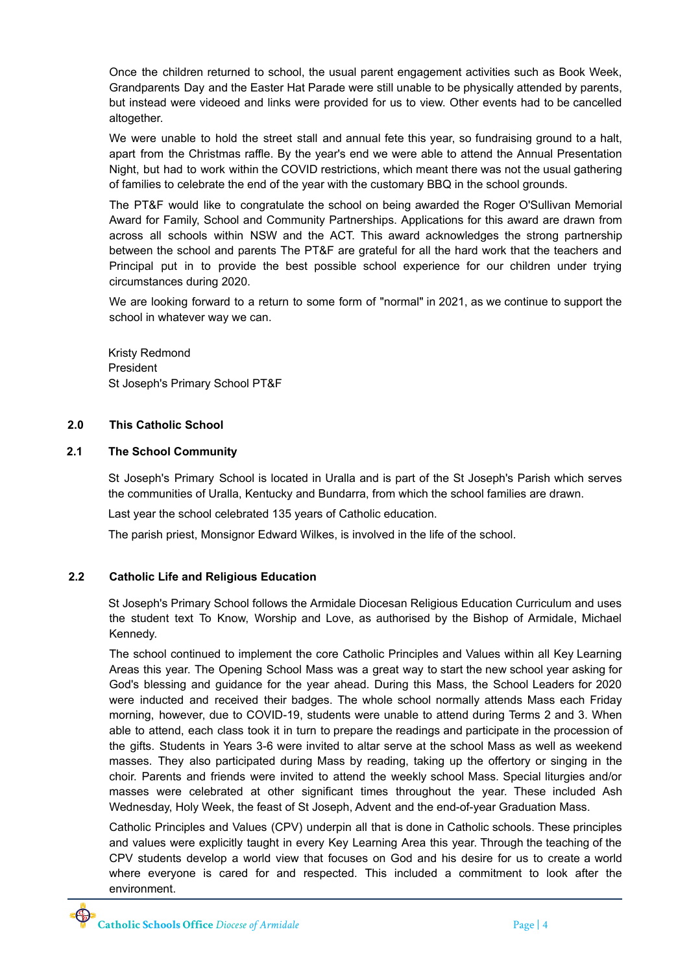Once the children returned to school, the usual parent engagement activities such as Book Week, Grandparents Day and the Easter Hat Parade were still unable to be physically attended by parents, but instead were videoed and links were provided for us to view. Other events had to be cancelled altogether.

We were unable to hold the street stall and annual fete this year, so fundraising ground to a halt, apart from the Christmas raffle. By the year's end we were able to attend the Annual Presentation Night, but had to work within the COVID restrictions, which meant there was not the usual gathering of families to celebrate the end of the year with the customary BBQ in the school grounds.

The PT&F would like to congratulate the school on being awarded the Roger O'Sullivan Memorial Award for Family, School and Community Partnerships. Applications for this award are drawn from across all schools within NSW and the ACT. This award acknowledges the strong partnership between the school and parents The PT&F are grateful for all the hard work that the teachers and Principal put in to provide the best possible school experience for our children under trying circumstances during 2020.

We are looking forward to a return to some form of "normal" in 2021, as we continue to support the school in whatever way we can.

Kristy Redmond President St Joseph's Primary School PT&F

#### **2.0 This Catholic School**

# **2.1 The School Community**

St Joseph's Primary School is located in Uralla and is part of the St Joseph's Parish which serves the communities of Uralla, Kentucky and Bundarra, from which the school families are drawn.

Last year the school celebrated 135 years of Catholic education.

The parish priest, Monsignor Edward Wilkes, is involved in the life of the school.

# **2.2 Catholic Life and Religious Education**

St Joseph's Primary School follows the Armidale Diocesan Religious Education Curriculum and uses the student text To Know, Worship and Love, as authorised by the Bishop of Armidale, Michael Kennedy.

The school continued to implement the core Catholic Principles and Values within all Key Learning Areas this year. The Opening School Mass was a great way to start the new school year asking for God's blessing and guidance for the year ahead. During this Mass, the School Leaders for 2020 were inducted and received their badges. The whole school normally attends Mass each Friday morning, however, due to COVID-19, students were unable to attend during Terms 2 and 3. When able to attend, each class took it in turn to prepare the readings and participate in the procession of the gifts. Students in Years 3-6 were invited to altar serve at the school Mass as well as weekend masses. They also participated during Mass by reading, taking up the offertory or singing in the choir. Parents and friends were invited to attend the weekly school Mass. Special liturgies and/or masses were celebrated at other significant times throughout the year. These included Ash Wednesday, Holy Week, the feast of St Joseph, Advent and the end-of-year Graduation Mass.

Catholic Principles and Values (CPV) underpin all that is done in Catholic schools. These principles and values were explicitly taught in every Key Learning Area this year. Through the teaching of the CPV students develop a world view that focuses on God and his desire for us to create a world where everyone is cared for and respected. This included a commitment to look after the environment.

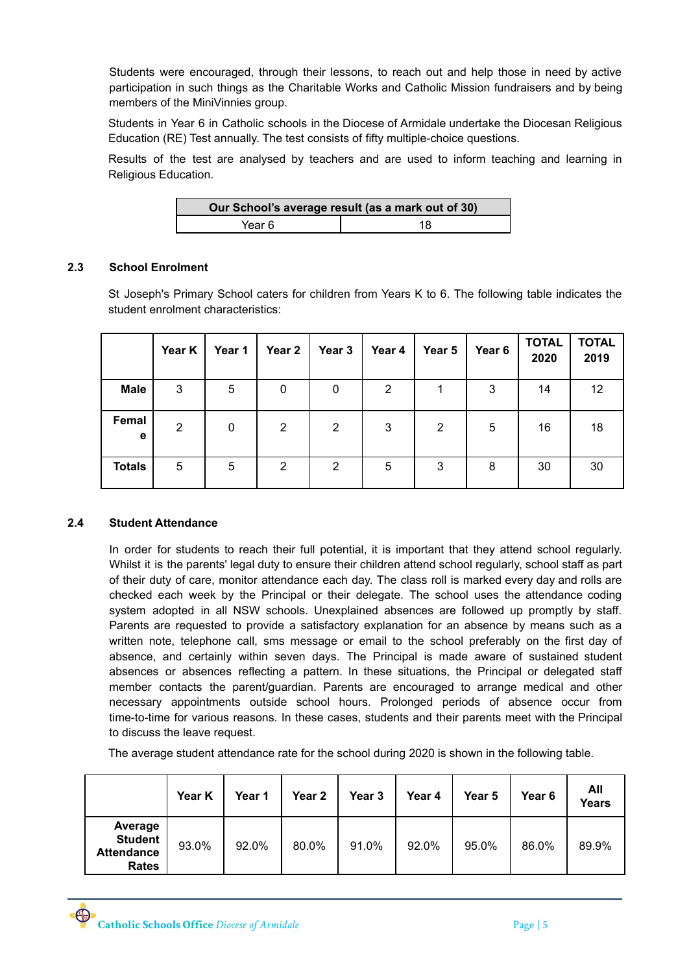Students were encouraged, through their lessons, to reach out and help those in need by active participation in such things as the Charitable Works and Catholic Mission fundraisers and by being members of the MiniVinnies group.

Students in Year 6 in Catholic schools in the Diocese of Armidale undertake the Diocesan Religious Education (RE) Test annually. The test consists of fifty multiple-choice questions.

Results of the test are analysed by teachers and are used to inform teaching and learning in Religious Education.

| Our School's average result (as a mark out of 30) |    |  |  |  |
|---------------------------------------------------|----|--|--|--|
| Year 6                                            | 18 |  |  |  |

# **2.3 School Enrolment**

St Joseph's Primary School caters for children from Years K to 6. The following table indicates the student enrolment characteristics:

|               | Year K | Year 1 | Year 2 | Year 3 | Year 4 | Year 5 | Year <sub>6</sub> | <b>TOTAL</b><br>2020 | <b>TOTAL</b><br>2019 |
|---------------|--------|--------|--------|--------|--------|--------|-------------------|----------------------|----------------------|
| <b>Male</b>   | 3      | 5      | 0      | 0      | 2      |        | 3                 | 14                   | 12                   |
| Femal<br>e    | 2      | 0      | 2      | 2      | 3      | 2      | 5                 | 16                   | 18                   |
| <b>Totals</b> | 5      | 5      | 2      | 2      | 5      | 3      | 8                 | 30                   | 30                   |

#### **2.4 Student Attendance**

In order for students to reach their full potential, it is important that they attend school regularly. Whilst it is the parents' legal duty to ensure their children attend school regularly, school staff as part of their duty of care, monitor attendance each day. The class roll is marked every day and rolls are checked each week by the Principal or their delegate. The school uses the attendance coding system adopted in all NSW schools. Unexplained absences are followed up promptly by staff. Parents are requested to provide a satisfactory explanation for an absence by means such as a written note, telephone call, sms message or email to the school preferably on the first day of absence, and certainly within seven days. The Principal is made aware of sustained student absences or absences reflecting a pattern. In these situations, the Principal or delegated staff member contacts the parent/guardian. Parents are encouraged to arrange medical and other necessary appointments outside school hours. Prolonged periods of absence occur from time-to-time for various reasons. In these cases, students and their parents meet with the Principal to discuss the leave request.

The average student attendance rate for the school during 2020 is shown in the following table.

|                                                                | Year K | Year 1 | Year <sub>2</sub> | Year 3 | Year 4 | Year 5 | Year 6 | All<br>Years |
|----------------------------------------------------------------|--------|--------|-------------------|--------|--------|--------|--------|--------------|
| Average<br><b>Student</b><br><b>Attendance</b><br><b>Rates</b> | 93.0%  | 92.0%  | 80.0%             | 91.0%  | 92.0%  | 95.0%  | 86.0%  | 89.9%        |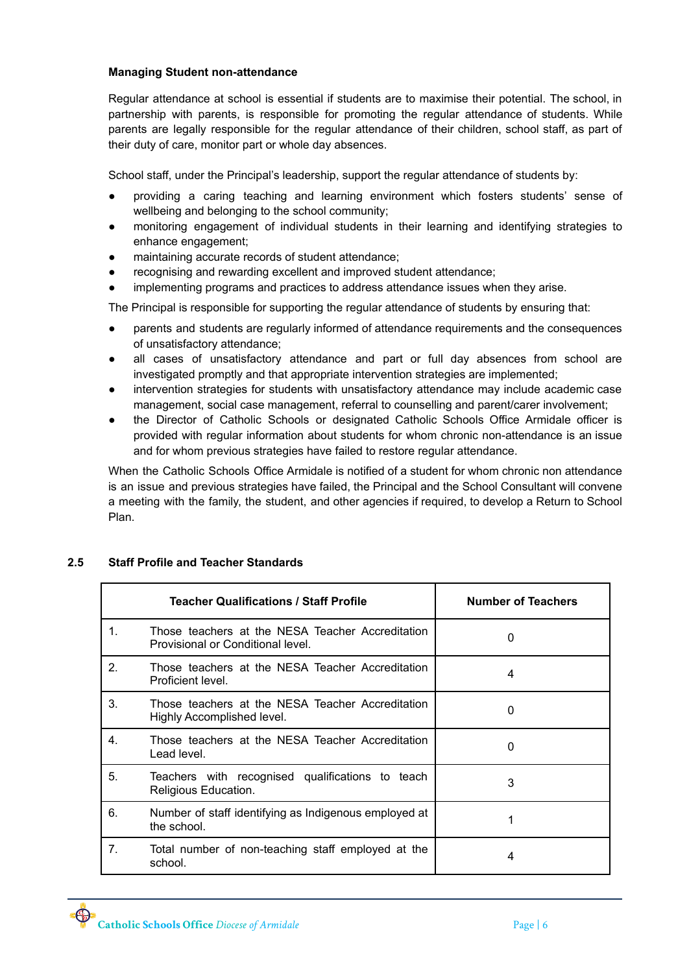#### **Managing Student non-attendance**

Regular attendance at school is essential if students are to maximise their potential. The school, in partnership with parents, is responsible for promoting the regular attendance of students. While parents are legally responsible for the regular attendance of their children, school staff, as part of their duty of care, monitor part or whole day absences.

School staff, under the Principal's leadership, support the regular attendance of students by:

- providing a caring teaching and learning environment which fosters students' sense of wellbeing and belonging to the school community;
- monitoring engagement of individual students in their learning and identifying strategies to enhance engagement;
- maintaining accurate records of student attendance;
- recognising and rewarding excellent and improved student attendance;
- implementing programs and practices to address attendance issues when they arise.

The Principal is responsible for supporting the regular attendance of students by ensuring that:

- parents and students are regularly informed of attendance requirements and the consequences of unsatisfactory attendance;
- all cases of unsatisfactory attendance and part or full day absences from school are investigated promptly and that appropriate intervention strategies are implemented;
- intervention strategies for students with unsatisfactory attendance may include academic case management, social case management, referral to counselling and parent/carer involvement;
- the Director of Catholic Schools or designated Catholic Schools Office Armidale officer is provided with regular information about students for whom chronic non-attendance is an issue and for whom previous strategies have failed to restore regular attendance.

When the Catholic Schools Office Armidale is notified of a student for whom chronic non attendance is an issue and previous strategies have failed, the Principal and the School Consultant will convene a meeting with the family, the student, and other agencies if required, to develop a Return to School Plan.

|                | <b>Teacher Qualifications / Staff Profile</b>                                         | <b>Number of Teachers</b> |  |  |
|----------------|---------------------------------------------------------------------------------------|---------------------------|--|--|
| $\mathbf{1}$ . | Those teachers at the NESA Teacher Accreditation<br>Provisional or Conditional level. | 0                         |  |  |
| $\mathcal{P}$  | Those teachers at the NESA Teacher Accreditation<br>Proficient level.                 | 4                         |  |  |
| $\mathbf{3}$   | Those teachers at the NESA Teacher Accreditation<br>Highly Accomplished level.        | 0                         |  |  |
| 4 <sup>1</sup> | Those teachers at the NESA Teacher Accreditation<br>Lead level.                       | 0                         |  |  |
| 5.             | Teachers with recognised qualifications to teach<br>Religious Education.              | 3                         |  |  |
| 6.             | Number of staff identifying as Indigenous employed at<br>the school.                  |                           |  |  |
| 7 <sub>1</sub> | Total number of non-teaching staff employed at the<br>school.                         | 4                         |  |  |

# **2.5 Staff Profile and Teacher Standards**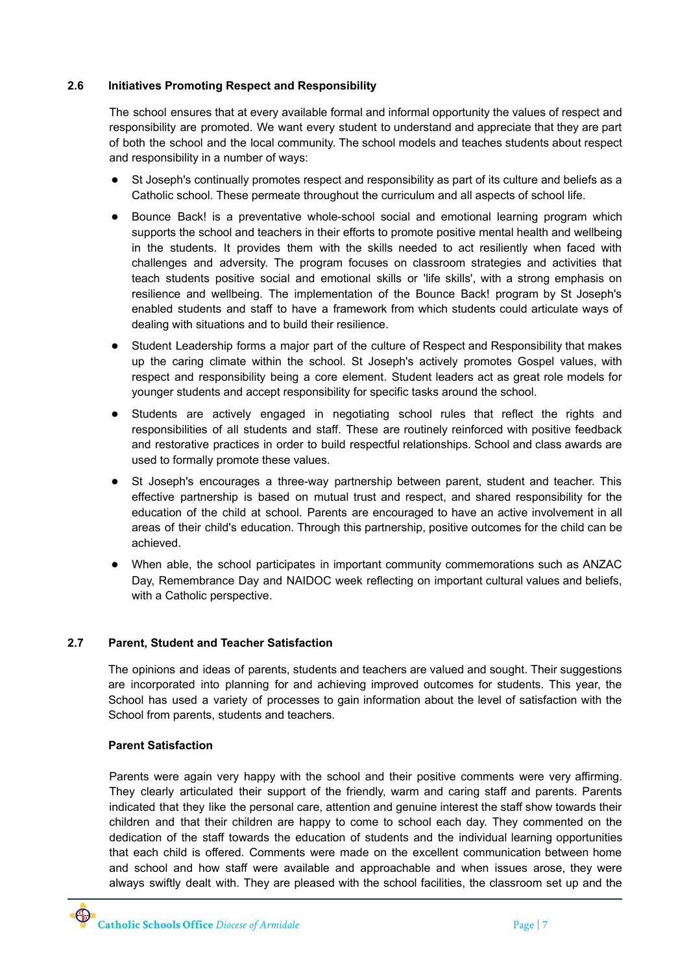# **2.6 Initiatives Promoting Respect and Responsibility**

The school ensures that at every available formal and informal opportunity the values of respect and responsibility are promoted. We want every student to understand and appreciate that they are part of both the school and the local community. The school models and teaches students about respect and responsibility in a number of ways:

- St Joseph's continually promotes respect and responsibility as part of its culture and beliefs as a Catholic school. These permeate throughout the curriculum and all aspects of school life.
- Bounce Back! is a preventative whole-school social and emotional learning program which supports the school and teachers in their efforts to promote positive mental health and wellbeing in the students. It provides them with the skills needed to act resiliently when faced with challenges and adversity. The program focuses on classroom strategies and activities that teach students positive social and emotional skills or 'life skills', with a strong emphasis on resilience and wellbeing. The implementation of the Bounce Back! program by St Joseph's enabled students and staff to have a framework from which students could articulate ways of dealing with situations and to build their resilience.
- Student Leadership forms a major part of the culture of Respect and Responsibility that makes up the caring climate within the school. St Joseph's actively promotes Gospel values, with respect and responsibility being a core element. Student leaders act as great role models for younger students and accept responsibility for specific tasks around the school.
- Students are actively engaged in negotiating school rules that reflect the rights and responsibilities of all students and staff. These are routinely reinforced with positive feedback and restorative practices in order to build respectful relationships. School and class awards are used to formally promote these values.
- St Joseph's encourages a three-way partnership between parent, student and teacher. This effective partnership is based on mutual trust and respect, and shared responsibility for the education of the child at school. Parents are encouraged to have an active involvement in all areas of their child's education. Through this partnership, positive outcomes for the child can be achieved.
- When able, the school participates in important community commemorations such as ANZAC Day, Remembrance Day and NAIDOC week reflecting on important cultural values and beliefs, with a Catholic perspective.

#### **2.7 Parent, Student and Teacher Satisfaction**

The opinions and ideas of parents, students and teachers are valued and sought. Their suggestions are incorporated into planning for and achieving improved outcomes for students. This year, the School has used a variety of processes to gain information about the level of satisfaction with the School from parents, students and teachers.

#### **Parent Satisfaction**

Parents were again very happy with the school and their positive comments were very affirming. They clearly articulated their support of the friendly, warm and caring staff and parents. Parents indicated that they like the personal care, attention and genuine interest the staff show towards their children and that their children are happy to come to school each day. They commented on the dedication of the staff towards the education of students and the individual learning opportunities that each child is offered. Comments were made on the excellent communication between home and school and how staff were available and approachable and when issues arose, they were always swiftly dealt with. They are pleased with the school facilities, the classroom set up and the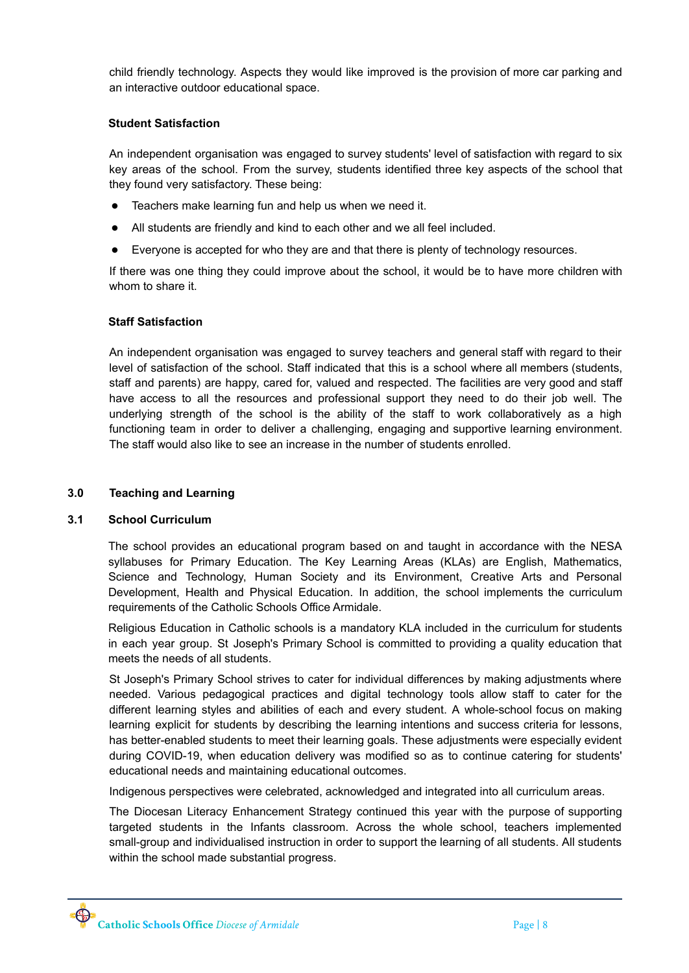child friendly technology. Aspects they would like improved is the provision of more car parking and an interactive outdoor educational space.

#### **Student Satisfaction**

An independent organisation was engaged to survey students' level of satisfaction with regard to six key areas of the school. From the survey, students identified three key aspects of the school that they found very satisfactory. These being:

- Teachers make learning fun and help us when we need it.
- All students are friendly and kind to each other and we all feel included.
- Everyone is accepted for who they are and that there is plenty of technology resources.

If there was one thing they could improve about the school, it would be to have more children with whom to share it.

#### **Staff Satisfaction**

An independent organisation was engaged to survey teachers and general staff with regard to their level of satisfaction of the school. Staff indicated that this is a school where all members (students, staff and parents) are happy, cared for, valued and respected. The facilities are very good and staff have access to all the resources and professional support they need to do their job well. The underlying strength of the school is the ability of the staff to work collaboratively as a high functioning team in order to deliver a challenging, engaging and supportive learning environment. The staff would also like to see an increase in the number of students enrolled.

#### **3.0 Teaching and Learning**

#### **3.1 School Curriculum**

The school provides an educational program based on and taught in accordance with the NESA syllabuses for Primary Education. The Key Learning Areas (KLAs) are English, Mathematics, Science and Technology, Human Society and its Environment, Creative Arts and Personal Development, Health and Physical Education. In addition, the school implements the curriculum requirements of the Catholic Schools Office Armidale.

Religious Education in Catholic schools is a mandatory KLA included in the curriculum for students in each year group. St Joseph's Primary School is committed to providing a quality education that meets the needs of all students.

St Joseph's Primary School strives to cater for individual differences by making adjustments where needed. Various pedagogical practices and digital technology tools allow staff to cater for the different learning styles and abilities of each and every student. A whole-school focus on making learning explicit for students by describing the learning intentions and success criteria for lessons, has better-enabled students to meet their learning goals. These adjustments were especially evident during COVID-19, when education delivery was modified so as to continue catering for students' educational needs and maintaining educational outcomes.

Indigenous perspectives were celebrated, acknowledged and integrated into all curriculum areas.

The Diocesan Literacy Enhancement Strategy continued this year with the purpose of supporting targeted students in the Infants classroom. Across the whole school, teachers implemented small-group and individualised instruction in order to support the learning of all students. All students within the school made substantial progress.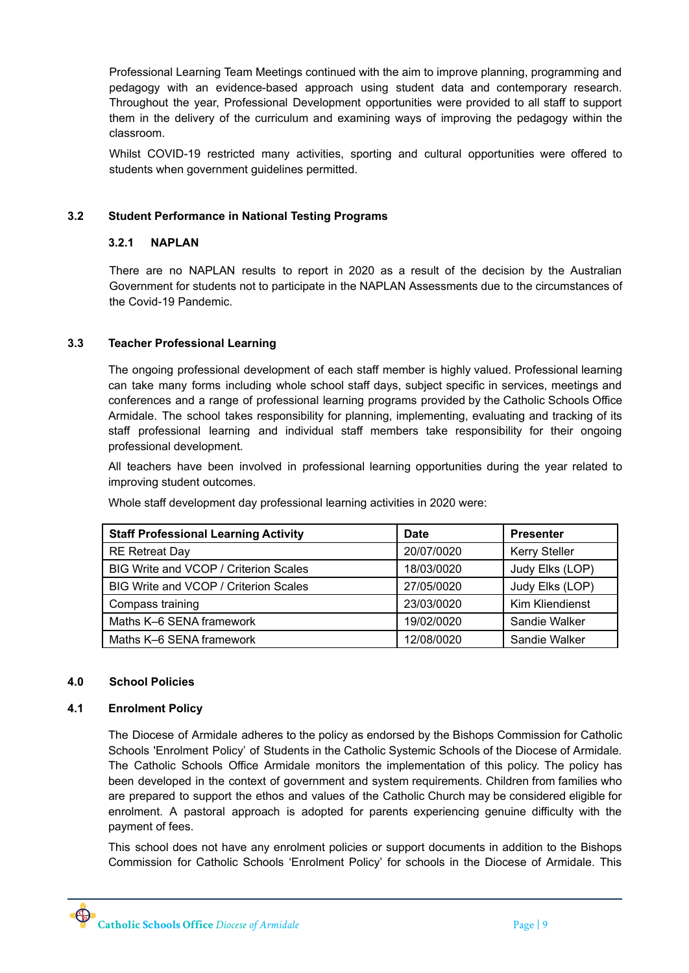Professional Learning Team Meetings continued with the aim to improve planning, programming and pedagogy with an evidence-based approach using student data and contemporary research. Throughout the year, Professional Development opportunities were provided to all staff to support them in the delivery of the curriculum and examining ways of improving the pedagogy within the classroom.

Whilst COVID-19 restricted many activities, sporting and cultural opportunities were offered to students when government guidelines permitted.

# **3.2 Student Performance in National Testing Programs**

#### **3.2.1 NAPLAN**

There are no NAPLAN results to report in 2020 as a result of the decision by the Australian Government for students not to participate in the NAPLAN Assessments due to the circumstances of the Covid-19 Pandemic.

# **3.3 Teacher Professional Learning**

The ongoing professional development of each staff member is highly valued. Professional learning can take many forms including whole school staff days, subject specific in services, meetings and conferences and a range of professional learning programs provided by the Catholic Schools Office Armidale. The school takes responsibility for planning, implementing, evaluating and tracking of its staff professional learning and individual staff members take responsibility for their ongoing professional development.

All teachers have been involved in professional learning opportunities during the year related to improving student outcomes.

| <b>Staff Professional Learning Activity</b> | <b>Date</b> | <b>Presenter</b>     |
|---------------------------------------------|-------------|----------------------|
| <b>RE Retreat Day</b>                       | 20/07/0020  | <b>Kerry Steller</b> |
| BIG Write and VCOP / Criterion Scales       | 18/03/0020  | Judy Elks (LOP)      |
| BIG Write and VCOP / Criterion Scales       | 27/05/0020  | Judy Elks (LOP)      |
| Compass training                            | 23/03/0020  | Kim Kliendienst      |
| Maths K-6 SENA framework                    | 19/02/0020  | Sandie Walker        |
| Maths K-6 SENA framework                    | 12/08/0020  | Sandie Walker        |

Whole staff development day professional learning activities in 2020 were:

#### **4.0 School Policies**

#### **4.1 Enrolment Policy**

The Diocese of Armidale adheres to the policy as endorsed by the Bishops Commission for Catholic Schools 'Enrolment Policy' of Students in the Catholic Systemic Schools of the Diocese of Armidale*.* The Catholic Schools Office Armidale monitors the implementation of this policy. The policy has been developed in the context of government and system requirements. Children from families who are prepared to support the ethos and values of the Catholic Church may be considered eligible for enrolment. A pastoral approach is adopted for parents experiencing genuine difficulty with the payment of fees.

This school does not have any enrolment policies or support documents in addition to the Bishops Commission for Catholic Schools 'Enrolment Policy' for schools in the Diocese of Armidale. This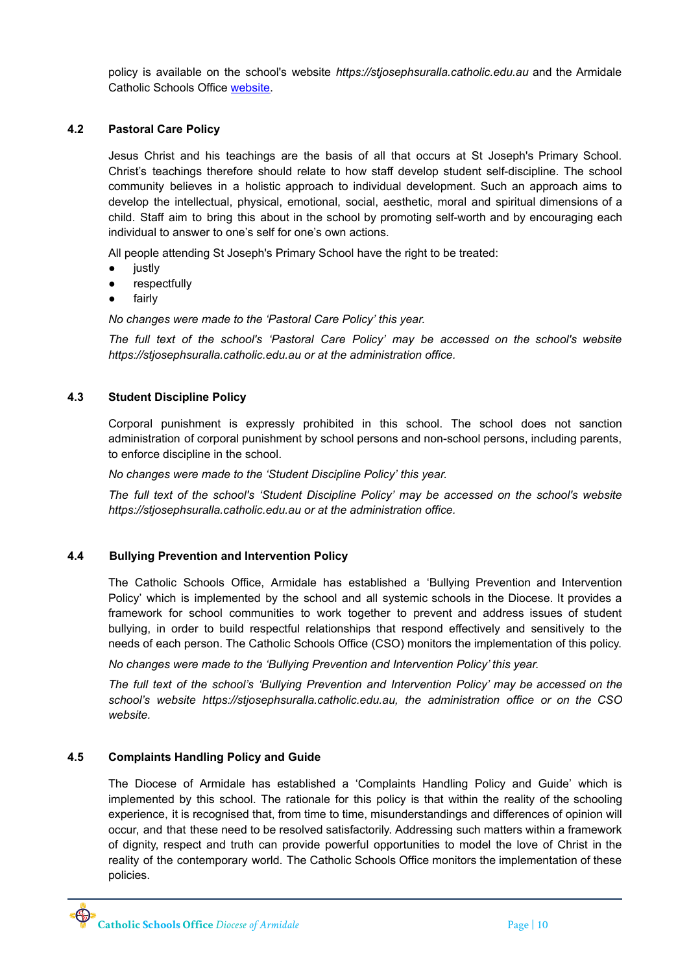policy is available on the school's website *https://stjosephsuralla.catholic.edu.au* and the Armidale Catholic Schools Office [website.](https://www.arm.catholic.edu.au)

#### **4.2 Pastoral Care Policy**

Jesus Christ and his teachings are the basis of all that occurs at St Joseph's Primary School. Christ's teachings therefore should relate to how staff develop student self-discipline. The school community believes in a holistic approach to individual development. Such an approach aims to develop the intellectual, physical, emotional, social, aesthetic, moral and spiritual dimensions of a child. Staff aim to bring this about in the school by promoting self-worth and by encouraging each individual to answer to one's self for one's own actions.

All people attending St Joseph's Primary School have the right to be treated:

- justly
- respectfully
- fairly

*No changes were made to the 'Pastoral Care Policy' this year.*

*The full text of the school's 'Pastoral Care Policy' may be accessed on the school's website https://stjosephsuralla.catholic.edu.au or at the administration office.*

#### **4.3 Student Discipline Policy**

Corporal punishment is expressly prohibited in this school. The school does not sanction administration of corporal punishment by school persons and non-school persons, including parents, to enforce discipline in the school.

*No changes were made to the 'Student Discipline Policy' this year.*

*The full text of the school's 'Student Discipline Policy' may be accessed on the school's website https://stjosephsuralla.catholic.edu.au or at the administration office.*

#### **4.4 Bullying Prevention and Intervention Policy**

The Catholic Schools Office, Armidale has established a 'Bullying Prevention and Intervention Policy' which is implemented by the school and all systemic schools in the Diocese. It provides a framework for school communities to work together to prevent and address issues of student bullying, in order to build respectful relationships that respond effectively and sensitively to the needs of each person. The Catholic Schools Office (CSO) monitors the implementation of this policy.

*No changes were made to the 'Bullying Prevention and Intervention Policy' this year.*

*The full text of the school's 'Bullying Prevention and Intervention Policy' may be accessed on the school's website https://stjosephsuralla.catholic.edu.au, the administration office or on the CSO website.*

#### **4.5 Complaints Handling Policy and Guide**

The Diocese of Armidale has established a 'Complaints Handling Policy and Guide' which is implemented by this school. The rationale for this policy is that within the reality of the schooling experience, it is recognised that, from time to time, misunderstandings and differences of opinion will occur, and that these need to be resolved satisfactorily. Addressing such matters within a framework of dignity, respect and truth can provide powerful opportunities to model the love of Christ in the reality of the contemporary world. The Catholic Schools Office monitors the implementation of these policies.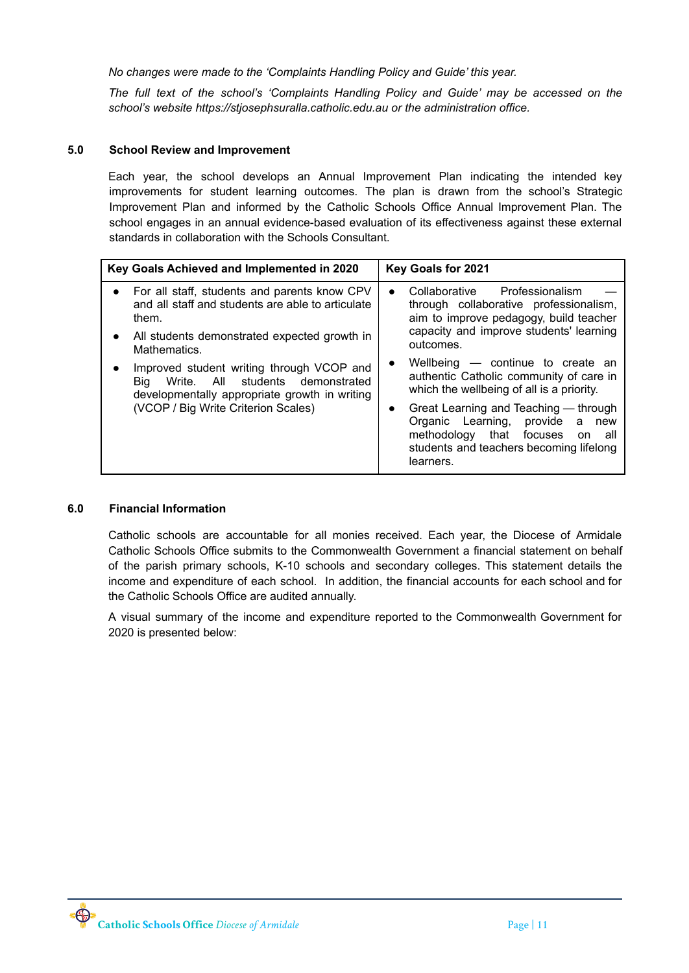*No changes were made to the 'Complaints Handling Policy and Guide' this year.*

*The full text of the school's 'Complaints Handling Policy and Guide' may be accessed on the school's website https://stjosephsuralla.catholic.edu.au or the administration office.*

#### **5.0 School Review and Improvement**

Each year, the school develops an Annual Improvement Plan indicating the intended key improvements for student learning outcomes. The plan is drawn from the school's Strategic Improvement Plan and informed by the Catholic Schools Office Annual Improvement Plan. The school engages in an annual evidence-based evaluation of its effectiveness against these external standards in collaboration with the Schools Consultant.

| Key Goals Achieved and Implemented in 2020                                                                                            | Key Goals for 2021                                                                                                                                                                              |  |  |
|---------------------------------------------------------------------------------------------------------------------------------------|-------------------------------------------------------------------------------------------------------------------------------------------------------------------------------------------------|--|--|
| For all staff, students and parents know CPV<br>and all staff and students are able to articulate<br>them.                            | Collaborative Professionalism<br>$\bullet$<br>through collaborative professionalism,<br>aim to improve pedagogy, build teacher                                                                  |  |  |
| All students demonstrated expected growth in<br>Mathematics.                                                                          | capacity and improve students' learning<br>outcomes.                                                                                                                                            |  |  |
| Improved student writing through VCOP and<br>Write. All students demonstrated<br>Bia<br>developmentally appropriate growth in writing | Wellbeing - continue to create an<br>$\bullet$<br>authentic Catholic community of care in<br>which the wellbeing of all is a priority.                                                          |  |  |
| (VCOP / Big Write Criterion Scales)                                                                                                   | Great Learning and Teaching — through<br>$\bullet$<br>Organic Learning,<br>provide<br>a<br>new<br>methodology that focuses<br>all<br>on<br>students and teachers becoming lifelong<br>learners. |  |  |

#### **6.0 Financial Information**

Catholic schools are accountable for all monies received. Each year, the Diocese of Armidale Catholic Schools Office submits to the Commonwealth Government a financial statement on behalf of the parish primary schools, K-10 schools and secondary colleges. This statement details the income and expenditure of each school. In addition, the financial accounts for each school and for the Catholic Schools Office are audited annually.

A visual summary of the income and expenditure reported to the Commonwealth Government for 2020 is presented below: